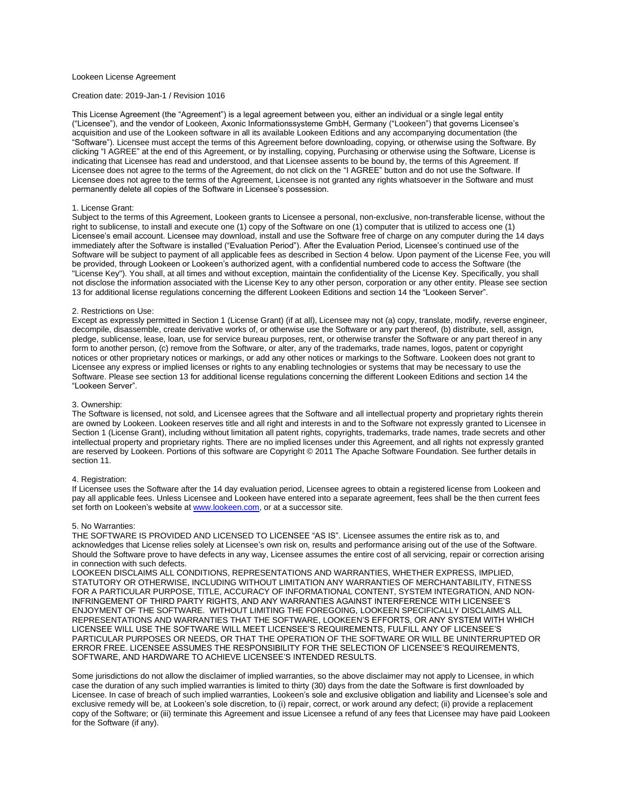## Lookeen License Agreement

# Creation date: 2019-Jan-1 / Revision 1016

This License Agreement (the "Agreement") is a legal agreement between you, either an individual or a single legal entity ("Licensee"), and the vendor of Lookeen, Axonic Informationssysteme GmbH, Germany ("Lookeen") that governs Licensee's acquisition and use of the Lookeen software in all its available Lookeen Editions and any accompanying documentation (the "Software"). Licensee must accept the terms of this Agreement before downloading, copying, or otherwise using the Software. By clicking "I AGREE" at the end of this Agreement, or by installing, copying, Purchasing or otherwise using the Software, License is indicating that Licensee has read and understood, and that Licensee assents to be bound by, the terms of this Agreement. If Licensee does not agree to the terms of the Agreement, do not click on the "I AGREE" button and do not use the Software. If Licensee does not agree to the terms of the Agreement, Licensee is not granted any rights whatsoever in the Software and must permanently delete all copies of the Software in Licensee's possession.

## 1. License Grant:

Subject to the terms of this Agreement, Lookeen grants to Licensee a personal, non-exclusive, non-transferable license, without the right to sublicense, to install and execute one (1) copy of the Software on one (1) computer that is utilized to access one (1) Licensee's email account. Licensee may download, install and use the Software free of charge on any computer during the 14 days immediately after the Software is installed ("Evaluation Period"). After the Evaluation Period, Licensee's continued use of the Software will be subject to payment of all applicable fees as described in Section 4 below. Upon payment of the License Fee, you will be provided, through Lookeen or Lookeen's authorized agent, with a confidential numbered code to access the Software (the "License Key"). You shall, at all times and without exception, maintain the confidentiality of the License Key. Specifically, you shall not disclose the information associated with the License Key to any other person, corporation or any other entity. Please see section 13 for additional license regulations concerning the different Lookeen Editions and section 14 the "Lookeen Server".

#### 2. Restrictions on Use:

Except as expressly permitted in Section 1 (License Grant) (if at all), Licensee may not (a) copy, translate, modify, reverse engineer, decompile, disassemble, create derivative works of, or otherwise use the Software or any part thereof, (b) distribute, sell, assign, pledge, sublicense, lease, loan, use for service bureau purposes, rent, or otherwise transfer the Software or any part thereof in any form to another person, (c) remove from the Software, or alter, any of the trademarks, trade names, logos, patent or copyright notices or other proprietary notices or markings, or add any other notices or markings to the Software. Lookeen does not grant to Licensee any express or implied licenses or rights to any enabling technologies or systems that may be necessary to use the Software. Please see section 13 for additional license regulations concerning the different Lookeen Editions and section 14 the "Lookeen Server".

#### 3. Ownership:

The Software is licensed, not sold, and Licensee agrees that the Software and all intellectual property and proprietary rights therein are owned by Lookeen. Lookeen reserves title and all right and interests in and to the Software not expressly granted to Licensee in Section 1 (License Grant), including without limitation all patent rights, copyrights, trademarks, trade names, trade secrets and other intellectual property and proprietary rights. There are no implied licenses under this Agreement, and all rights not expressly granted are reserved by Lookeen. Portions of this software are Copyright © 2011 The Apache Software Foundation. See further details in section 11

### 4. Registration:

If Licensee uses the Software after the 14 day evaluation period, Licensee agrees to obtain a registered license from Lookeen and pay all applicable fees. Unless Licensee and Lookeen have entered into a separate agreement, fees shall be the then current fees set forth on Lookeen's website at [www.lookeen.com,](http://www.lookeen.com/) or at a successor site.

#### 5. No Warranties:

THE SOFTWARE IS PROVIDED AND LICENSED TO LICENSEE "AS IS". Licensee assumes the entire risk as to, and acknowledges that License relies solely at Licensee's own risk on, results and performance arising out of the use of the Software. Should the Software prove to have defects in any way, Licensee assumes the entire cost of all servicing, repair or correction arising in connection with such defects.

LOOKEEN DISCLAIMS ALL CONDITIONS, REPRESENTATIONS AND WARRANTIES, WHETHER EXPRESS, IMPLIED, STATUTORY OR OTHERWISE, INCLUDING WITHOUT LIMITATION ANY WARRANTIES OF MERCHANTABILITY, FITNESS FOR A PARTICULAR PURPOSE, TITLE, ACCURACY OF INFORMATIONAL CONTENT, SYSTEM INTEGRATION, AND NON-INFRINGEMENT OF THIRD PARTY RIGHTS, AND ANY WARRANTIES AGAINST INTERFERENCE WITH LICENSEE'S ENJOYMENT OF THE SOFTWARE. WITHOUT LIMITING THE FOREGOING, LOOKEEN SPECIFICALLY DISCLAIMS ALL REPRESENTATIONS AND WARRANTIES THAT THE SOFTWARE, LOOKEEN'S EFFORTS, OR ANY SYSTEM WITH WHICH LICENSEE WILL USE THE SOFTWARE WILL MEET LICENSEE'S REQUIREMENTS, FULFILL ANY OF LICENSEE'S PARTICULAR PURPOSES OR NEEDS, OR THAT THE OPERATION OF THE SOFTWARE OR WILL BE UNINTERRUPTED OR ERROR FREE. LICENSEE ASSUMES THE RESPONSIBILITY FOR THE SELECTION OF LICENSEE'S REQUIREMENTS, SOFTWARE, AND HARDWARE TO ACHIEVE LICENSEE'S INTENDED RESULTS.

Some jurisdictions do not allow the disclaimer of implied warranties, so the above disclaimer may not apply to Licensee, in which case the duration of any such implied warranties is limited to thirty (30) days from the date the Software is first downloaded by Licensee. In case of breach of such implied warranties, Lookeen's sole and exclusive obligation and liability and Licensee's sole and exclusive remedy will be, at Lookeen's sole discretion, to (i) repair, correct, or work around any defect; (ii) provide a replacement copy of the Software; or (iii) terminate this Agreement and issue Licensee a refund of any fees that Licensee may have paid Lookeen for the Software (if any).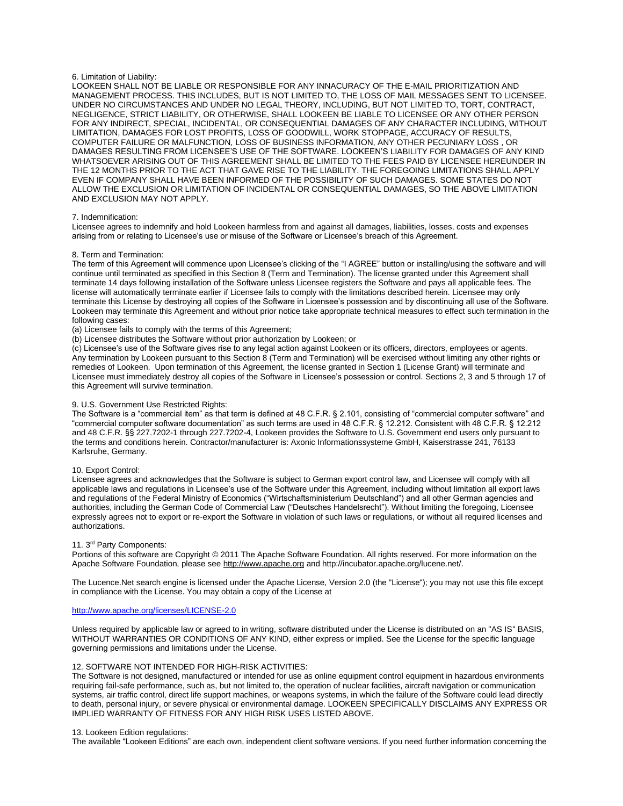## 6. Limitation of Liability:

LOOKEEN SHALL NOT BE LIABLE OR RESPONSIBLE FOR ANY INNACURACY OF THE E-MAIL PRIORITIZATION AND MANAGEMENT PROCESS. THIS INCLUDES, BUT IS NOT LIMITED TO, THE LOSS OF MAIL MESSAGES SENT TO LICENSEE. UNDER NO CIRCUMSTANCES AND UNDER NO LEGAL THEORY, INCLUDING, BUT NOT LIMITED TO, TORT, CONTRACT, NEGLIGENCE, STRICT LIABILITY, OR OTHERWISE, SHALL LOOKEEN BE LIABLE TO LICENSEE OR ANY OTHER PERSON FOR ANY INDIRECT, SPECIAL, INCIDENTAL, OR CONSEQUENTIAL DAMAGES OF ANY CHARACTER INCLUDING, WITHOUT LIMITATION, DAMAGES FOR LOST PROFITS, LOSS OF GOODWILL, WORK STOPPAGE, ACCURACY OF RESULTS, COMPUTER FAILURE OR MALFUNCTION, LOSS OF BUSINESS INFORMATION, ANY OTHER PECUNIARY LOSS , OR DAMAGES RESULTING FROM LICENSEE'S USE OF THE SOFTWARE. LOOKEEN'S LIABILITY FOR DAMAGES OF ANY KIND WHATSOEVER ARISING OUT OF THIS AGREEMENT SHALL BE LIMITED TO THE FEES PAID BY LICENSEE HEREUNDER IN THE 12 MONTHS PRIOR TO THE ACT THAT GAVE RISE TO THE LIABILITY. THE FOREGOING LIMITATIONS SHALL APPLY EVEN IF COMPANY SHALL HAVE BEEN INFORMED OF THE POSSIBILITY OF SUCH DAMAGES. SOME STATES DO NOT ALLOW THE EXCLUSION OR LIMITATION OF INCIDENTAL OR CONSEQUENTIAL DAMAGES, SO THE ABOVE LIMITATION AND EXCLUSION MAY NOT APPLY.

### 7. Indemnification:

Licensee agrees to indemnify and hold Lookeen harmless from and against all damages, liabilities, losses, costs and expenses arising from or relating to Licensee's use or misuse of the Software or Licensee's breach of this Agreement.

### 8. Term and Termination:

The term of this Agreement will commence upon Licensee's clicking of the "I AGREE" button or installing/using the software and will continue until terminated as specified in this Section 8 (Term and Termination). The license granted under this Agreement shall terminate 14 days following installation of the Software unless Licensee registers the Software and pays all applicable fees. The license will automatically terminate earlier if Licensee fails to comply with the limitations described herein. Licensee may only terminate this License by destroying all copies of the Software in Licensee's possession and by discontinuing all use of the Software. Lookeen may terminate this Agreement and without prior notice take appropriate technical measures to effect such termination in the following cases:

(a) Licensee fails to comply with the terms of this Agreement;

(b) Licensee distributes the Software without prior authorization by Lookeen; or

(c) Licensee's use of the Software gives rise to any legal action against Lookeen or its officers, directors, employees or agents. Any termination by Lookeen pursuant to this Section 8 (Term and Termination) will be exercised without limiting any other rights or remedies of Lookeen. Upon termination of this Agreement, the license granted in Section 1 (License Grant) will terminate and Licensee must immediately destroy all copies of the Software in Licensee's possession or control. Sections 2, 3 and 5 through 17 of this Agreement will survive termination.

#### 9. U.S. Government Use Restricted Rights:

The Software is a "commercial item" as that term is defined at 48 C.F.R. § 2.101, consisting of "commercial computer software" and "commercial computer software documentation" as such terms are used in 48 C.F.R. § 12.212. Consistent with 48 C.F.R. § 12.212 and 48 C.F.R. §§ 227.7202-1 through 227.7202-4, Lookeen provides the Software to U.S. Government end users only pursuant to the terms and conditions herein. Contractor/manufacturer is: Axonic Informationssysteme GmbH, Kaiserstrasse 241, 76133 Karlsruhe, Germany.

### 10. Export Control:

Licensee agrees and acknowledges that the Software is subject to German export control law, and Licensee will comply with all applicable laws and regulations in Licensee's use of the Software under this Agreement, including without limitation all export laws and regulations of the Federal Ministry of Economics ("Wirtschaftsministerium Deutschland") and all other German agencies and authorities, including the German Code of Commercial Law ("Deutsches Handelsrecht"). Without limiting the foregoing, Licensee expressly agrees not to export or re-export the Software in violation of such laws or regulations, or without all required licenses and authorizations.

### 11. 3<sup>rd</sup> Party Components:

Portions of this software are Copyright © 2011 The Apache Software Foundation. All rights reserved. For more information on the Apache Software Foundation, please se[e http://www.apache.org](http://www.apache.org/) and http://incubator.apache.org/lucene.net/.

The Lucence.Net search engine is licensed under the Apache License, Version 2.0 (the "License"); you may not use this file except in compliance with the License. You may obtain a copy of the License at

# <http://www.apache.org/licenses/LICENSE-2.0>

Unless required by applicable law or agreed to in writing, software distributed under the License is distributed on an "AS IS" BASIS, WITHOUT WARRANTIES OR CONDITIONS OF ANY KIND, either express or implied. See the License for the specific language governing permissions and limitations under the License.

# 12. SOFTWARE NOT INTENDED FOR HIGH-RISK ACTIVITIES:

The Software is not designed, manufactured or intended for use as online equipment control equipment in hazardous environments requiring fail-safe performance, such as, but not limited to, the operation of nuclear facilities, aircraft navigation or communication systems, air traffic control, direct life support machines, or weapons systems, in which the failure of the Software could lead directly to death, personal injury, or severe physical or environmental damage. LOOKEEN SPECIFICALLY DISCLAIMS ANY EXPRESS OR IMPLIED WARRANTY OF FITNESS FOR ANY HIGH RISK USES LISTED ABOVE.

## 13. Lookeen Edition regulations:

The available "Lookeen Editions" are each own, independent client software versions. If you need further information concerning the